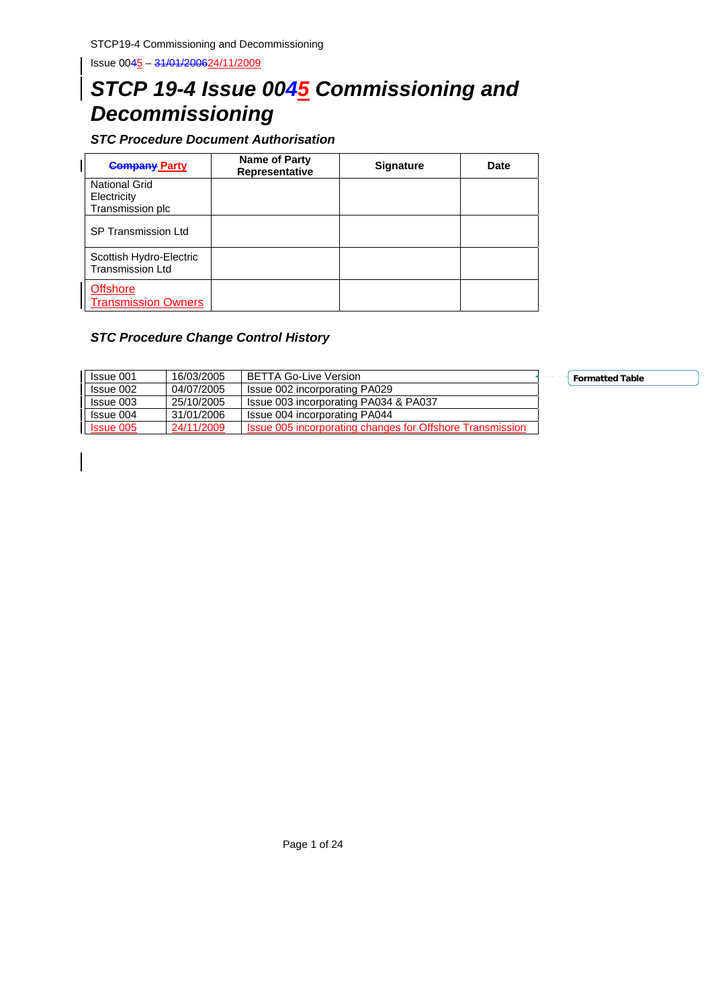# *STCP 19-4 Issue 0045 Commissioning and Decommissioning*

*STC Procedure Document Authorisation* 

| <b>Company Party</b>                                    | <b>Name of Party</b><br>Representative | <b>Signature</b> | Date |
|---------------------------------------------------------|----------------------------------------|------------------|------|
| <b>National Grid</b><br>Electricity<br>Transmission plc |                                        |                  |      |
| SP Transmission Ltd                                     |                                        |                  |      |
| Scottish Hydro-Electric<br><b>Transmission Ltd</b>      |                                        |                  |      |
| <b>Offshore</b><br><b>Transmission Owners</b>           |                                        |                  |      |

## *STC Procedure Change Control History*

| Issue 001        | 16/03/2005 | <b>BETTA Go-Live Version</b>                                     | Formatto |
|------------------|------------|------------------------------------------------------------------|----------|
| Issue 002        | 04/07/2005 | Issue 002 incorporating PA029                                    |          |
| Issue 003        | 25/10/2005 | Issue 003 incorporating PA034 & PA037                            |          |
| Issue 004        | 31/01/2006 | Issue 004 incorporating PA044                                    |          |
| <b>Issue 005</b> | 24/11/2009 | <b>Issue 005 incorporating changes for Offshore Transmission</b> |          |

**Ed Table**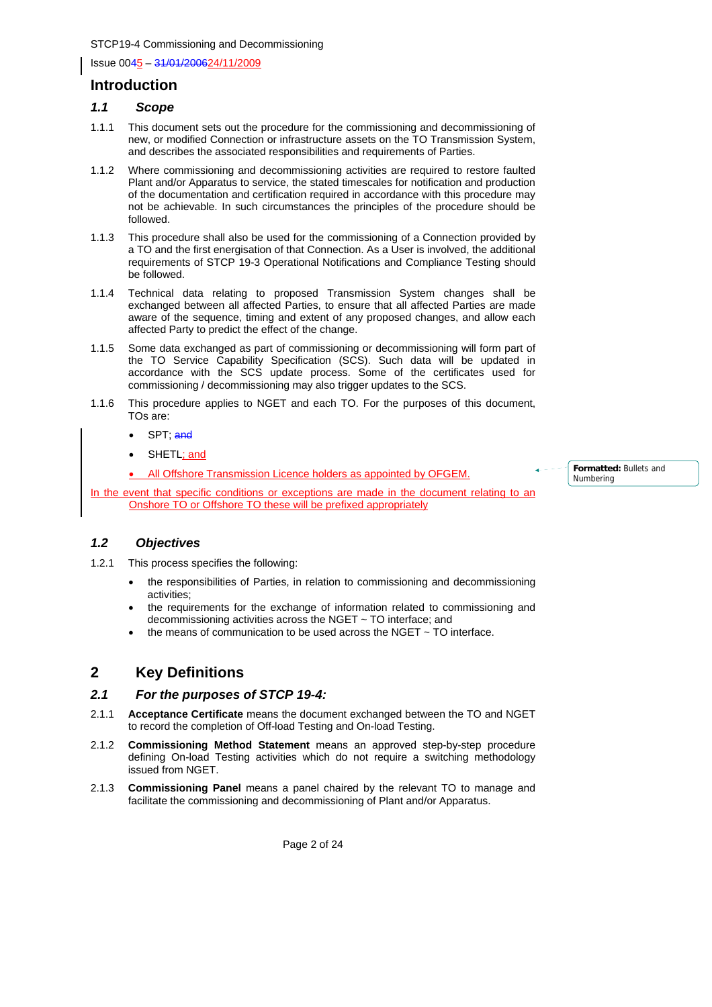## **Introduction**

### *1.1 Scope*

- 1.1.1 This document sets out the procedure for the commissioning and decommissioning of new, or modified Connection or infrastructure assets on the TO Transmission System, and describes the associated responsibilities and requirements of Parties.
- 1.1.2 Where commissioning and decommissioning activities are required to restore faulted Plant and/or Apparatus to service, the stated timescales for notification and production of the documentation and certification required in accordance with this procedure may not be achievable. In such circumstances the principles of the procedure should be followed.
- 1.1.3 This procedure shall also be used for the commissioning of a Connection provided by a TO and the first energisation of that Connection. As a User is involved, the additional requirements of STCP 19-3 Operational Notifications and Compliance Testing should be followed.
- 1.1.4 Technical data relating to proposed Transmission System changes shall be exchanged between all affected Parties, to ensure that all affected Parties are made aware of the sequence, timing and extent of any proposed changes, and allow each affected Party to predict the effect of the change.
- 1.1.5 Some data exchanged as part of commissioning or decommissioning will form part of the TO Service Capability Specification (SCS). Such data will be updated in accordance with the SCS update process. Some of the certificates used for commissioning / decommissioning may also trigger updates to the SCS.
- 1.1.6 This procedure applies to NGET and each TO. For the purposes of this document, TOs are:
	- SPT; and
	- SHETL; and

All Offshore Transmission Licence holders as appointed by OFGEM.

In the event that specific conditions or exceptions are made in the document relating to an Onshore TO or Offshore TO these will be prefixed appropriately

**Formatted:** Bullets and Numbering

## *1.2 Objectives*

- 1.2.1 This process specifies the following:
	- the responsibilities of Parties, in relation to commissioning and decommissioning activities;
	- the requirements for the exchange of information related to commissioning and decommissioning activities across the NGET ~ TO interface; and
	- the means of communication to be used across the NGET  $\sim$  TO interface.

## **2 Key Definitions**

### *2.1 For the purposes of STCP 19-4:*

- 2.1.1 **Acceptance Certificate** means the document exchanged between the TO and NGET to record the completion of Off-load Testing and On-load Testing.
- 2.1.2 **Commissioning Method Statement** means an approved step-by-step procedure defining On-load Testing activities which do not require a switching methodology issued from NGET.
- 2.1.3 **Commissioning Panel** means a panel chaired by the relevant TO to manage and facilitate the commissioning and decommissioning of Plant and/or Apparatus.

Page 2 of 24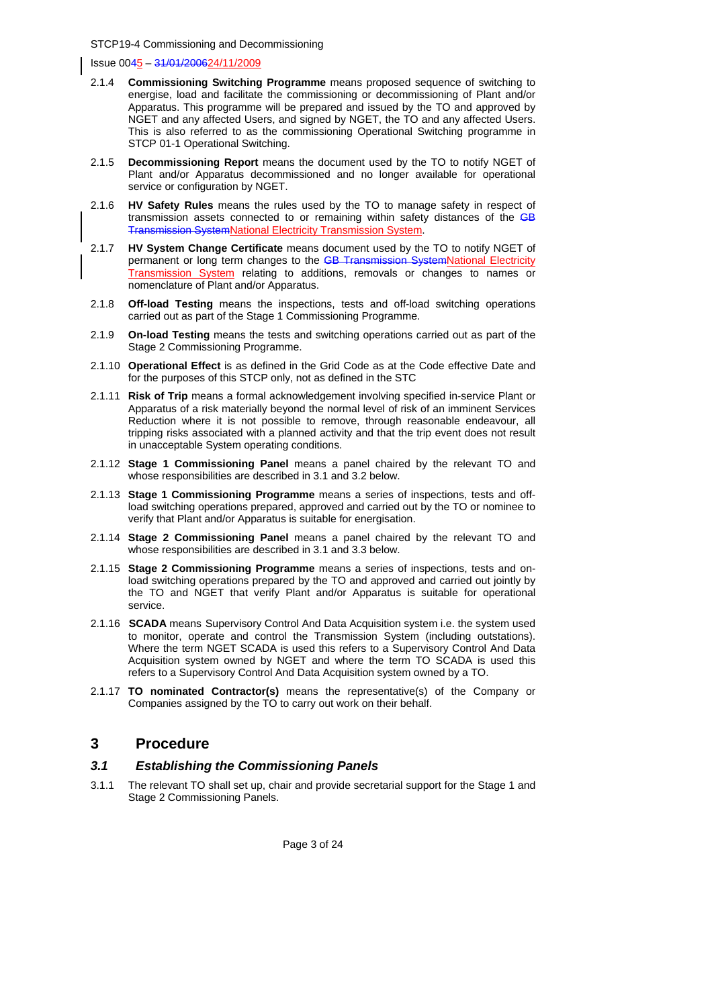Issue 0045 – 31/01/200624/11/2009

- 2.1.4 **Commissioning Switching Programme** means proposed sequence of switching to energise, load and facilitate the commissioning or decommissioning of Plant and/or Apparatus. This programme will be prepared and issued by the TO and approved by NGET and any affected Users, and signed by NGET, the TO and any affected Users. This is also referred to as the commissioning Operational Switching programme in STCP 01-1 Operational Switching.
- 2.1.5 **Decommissioning Report** means the document used by the TO to notify NGET of Plant and/or Apparatus decommissioned and no longer available for operational service or configuration by NGET.
- 2.1.6 **HV Safety Rules** means the rules used by the TO to manage safety in respect of transmission assets connected to or remaining within safety distances of the GB Transmission SystemNational Electricity Transmission System.
- 2.1.7 **HV System Change Certificate** means document used by the TO to notify NGET of permanent or long term changes to the **GB Transmission SystemNational Electricity Transmission System** relating to additions, removals or changes to names or nomenclature of Plant and/or Apparatus.
- 2.1.8 **Off-load Testing** means the inspections, tests and off-load switching operations carried out as part of the Stage 1 Commissioning Programme.
- 2.1.9 **On-load Testing** means the tests and switching operations carried out as part of the Stage 2 Commissioning Programme.
- 2.1.10 **Operational Effect** is as defined in the Grid Code as at the Code effective Date and for the purposes of this STCP only, not as defined in the STC
- 2.1.11 **Risk of Trip** means a formal acknowledgement involving specified in-service Plant or Apparatus of a risk materially beyond the normal level of risk of an imminent Services Reduction where it is not possible to remove, through reasonable endeavour, all tripping risks associated with a planned activity and that the trip event does not result in unacceptable System operating conditions.
- 2.1.12 **Stage 1 Commissioning Panel** means a panel chaired by the relevant TO and whose responsibilities are described in 3.1 and 3.2 below.
- 2.1.13 **Stage 1 Commissioning Programme** means a series of inspections, tests and offload switching operations prepared, approved and carried out by the TO or nominee to verify that Plant and/or Apparatus is suitable for energisation.
- 2.1.14 **Stage 2 Commissioning Panel** means a panel chaired by the relevant TO and whose responsibilities are described in 3.1 and 3.3 below.
- 2.1.15 **Stage 2 Commissioning Programme** means a series of inspections, tests and onload switching operations prepared by the TO and approved and carried out jointly by the TO and NGET that verify Plant and/or Apparatus is suitable for operational service.
- 2.1.16 **SCADA** means Supervisory Control And Data Acquisition system i.e. the system used to monitor, operate and control the Transmission System (including outstations). Where the term NGET SCADA is used this refers to a Supervisory Control And Data Acquisition system owned by NGET and where the term TO SCADA is used this refers to a Supervisory Control And Data Acquisition system owned by a TO.
- 2.1.17 **TO nominated Contractor(s)** means the representative(s) of the Company or Companies assigned by the TO to carry out work on their behalf.

## **3 Procedure**

### *3.1 Establishing the Commissioning Panels*

3.1.1 The relevant TO shall set up, chair and provide secretarial support for the Stage 1 and Stage 2 Commissioning Panels.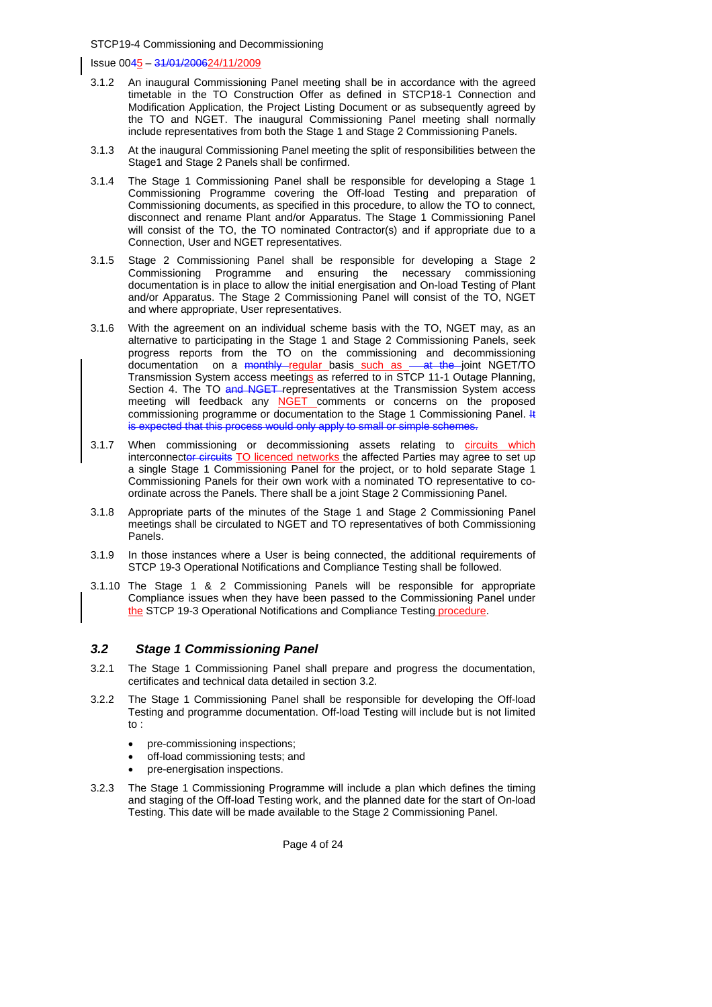Issue 0045 – 31/01/200624/11/2009

- 3.1.2 An inaugural Commissioning Panel meeting shall be in accordance with the agreed timetable in the TO Construction Offer as defined in STCP18-1 Connection and Modification Application, the Project Listing Document or as subsequently agreed by the TO and NGET. The inaugural Commissioning Panel meeting shall normally include representatives from both the Stage 1 and Stage 2 Commissioning Panels.
- 3.1.3 At the inaugural Commissioning Panel meeting the split of responsibilities between the Stage1 and Stage 2 Panels shall be confirmed.
- 3.1.4 The Stage 1 Commissioning Panel shall be responsible for developing a Stage 1 Commissioning Programme covering the Off-load Testing and preparation of Commissioning documents, as specified in this procedure, to allow the TO to connect, disconnect and rename Plant and/or Apparatus. The Stage 1 Commissioning Panel will consist of the TO, the TO nominated Contractor(s) and if appropriate due to a Connection, User and NGET representatives.
- 3.1.5 Stage 2 Commissioning Panel shall be responsible for developing a Stage 2 Commissioning Programme and ensuring the necessary commissioning documentation is in place to allow the initial energisation and On-load Testing of Plant and/or Apparatus. The Stage 2 Commissioning Panel will consist of the TO, NGET and where appropriate, User representatives.
- 3.1.6 With the agreement on an individual scheme basis with the TO, NGET may, as an alternative to participating in the Stage 1 and Stage 2 Commissioning Panels, seek progress reports from the TO on the commissioning and decommissioning documentation on a monthly regular basis such as - at the joint NGET/TO Transmission System access meetings as referred to in STCP 11-1 Outage Planning, Section 4. The TO and NGET representatives at the Transmission System access meeting will feedback any NGET comments or concerns on the proposed commissioning programme or documentation to the Stage 1 Commissioning Panel. It is expected that this process would only apply to small or simple schemes.
- 3.1.7 When commissioning or decommissioning assets relating to circuits which interconnector circuits TO licenced networks the affected Parties may agree to set up a single Stage 1 Commissioning Panel for the project, or to hold separate Stage 1 Commissioning Panels for their own work with a nominated TO representative to coordinate across the Panels. There shall be a joint Stage 2 Commissioning Panel.
- 3.1.8 Appropriate parts of the minutes of the Stage 1 and Stage 2 Commissioning Panel meetings shall be circulated to NGET and TO representatives of both Commissioning Panels.
- 3.1.9 In those instances where a User is being connected, the additional requirements of STCP 19-3 Operational Notifications and Compliance Testing shall be followed.
- 3.1.10 The Stage 1 & 2 Commissioning Panels will be responsible for appropriate Compliance issues when they have been passed to the Commissioning Panel under the STCP 19-3 Operational Notifications and Compliance Testing procedure.

### *3.2 Stage 1 Commissioning Panel*

- 3.2.1 The Stage 1 Commissioning Panel shall prepare and progress the documentation, certificates and technical data detailed in section 3.2.
- 3.2.2 The Stage 1 Commissioning Panel shall be responsible for developing the Off-load Testing and programme documentation. Off-load Testing will include but is not limited to :
	- pre-commissioning inspections;
	- off-load commissioning tests; and
	- pre-energisation inspections.
- 3.2.3 The Stage 1 Commissioning Programme will include a plan which defines the timing and staging of the Off-load Testing work, and the planned date for the start of On-load Testing. This date will be made available to the Stage 2 Commissioning Panel.

Page 4 of 24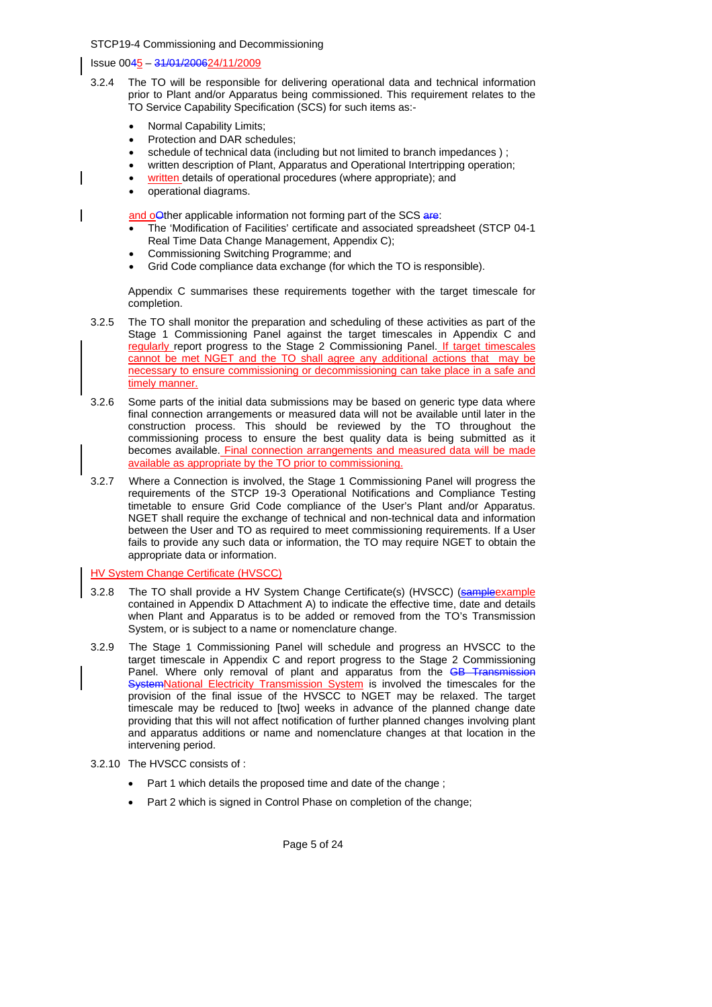### Issue 0045 – 31/01/200624/11/2009

- 3.2.4 The TO will be responsible for delivering operational data and technical information prior to Plant and/or Apparatus being commissioned. This requirement relates to the TO Service Capability Specification (SCS) for such items as:-
	- Normal Capability Limits;
	- Protection and DAR schedules:
	- schedule of technical data (including but not limited to branch impedances);
	- written description of Plant, Apparatus and Operational Intertripping operation:
	- written details of operational procedures (where appropriate); and
	- operational diagrams.

and oOther applicable information not forming part of the SCS are:

- The 'Modification of Facilities' certificate and associated spreadsheet (STCP 04-1 Real Time Data Change Management, Appendix C);
- Commissioning Switching Programme; and
- Grid Code compliance data exchange (for which the TO is responsible).

Appendix C summarises these requirements together with the target timescale for completion.

- 3.2.5 The TO shall monitor the preparation and scheduling of these activities as part of the Stage 1 Commissioning Panel against the target timescales in Appendix C and regularly report progress to the Stage 2 Commissioning Panel. If target timescales cannot be met NGET and the TO shall agree any additional actions that may be necessary to ensure commissioning or decommissioning can take place in a safe and timely manner.
- 3.2.6 Some parts of the initial data submissions may be based on generic type data where final connection arrangements or measured data will not be available until later in the construction process. This should be reviewed by the TO throughout the commissioning process to ensure the best quality data is being submitted as it becomes available. Final connection arrangements and measured data will be made available as appropriate by the TO prior to commissioning.
- 3.2.7 Where a Connection is involved, the Stage 1 Commissioning Panel will progress the requirements of the STCP 19-3 Operational Notifications and Compliance Testing timetable to ensure Grid Code compliance of the User's Plant and/or Apparatus. NGET shall require the exchange of technical and non-technical data and information between the User and TO as required to meet commissioning requirements. If a User fails to provide any such data or information, the TO may require NGET to obtain the appropriate data or information.

HV System Change Certificate (HVSCC)

- 3.2.8 The TO shall provide a HV System Change Certificate(s) (HVSCC) (sampleexample contained in Appendix D Attachment A) to indicate the effective time, date and details when Plant and Apparatus is to be added or removed from the TO's Transmission System, or is subject to a name or nomenclature change.
- 3.2.9 The Stage 1 Commissioning Panel will schedule and progress an HVSCC to the target timescale in Appendix C and report progress to the Stage 2 Commissioning Panel. Where only removal of plant and apparatus from the GB Trans SystemNational Electricity Transmission System is involved the timescales for the provision of the final issue of the HVSCC to NGET may be relaxed. The target timescale may be reduced to [two] weeks in advance of the planned change date providing that this will not affect notification of further planned changes involving plant and apparatus additions or name and nomenclature changes at that location in the intervening period.
- 3.2.10 The HVSCC consists of :
	- Part 1 which details the proposed time and date of the change ;
	- Part 2 which is signed in Control Phase on completion of the change;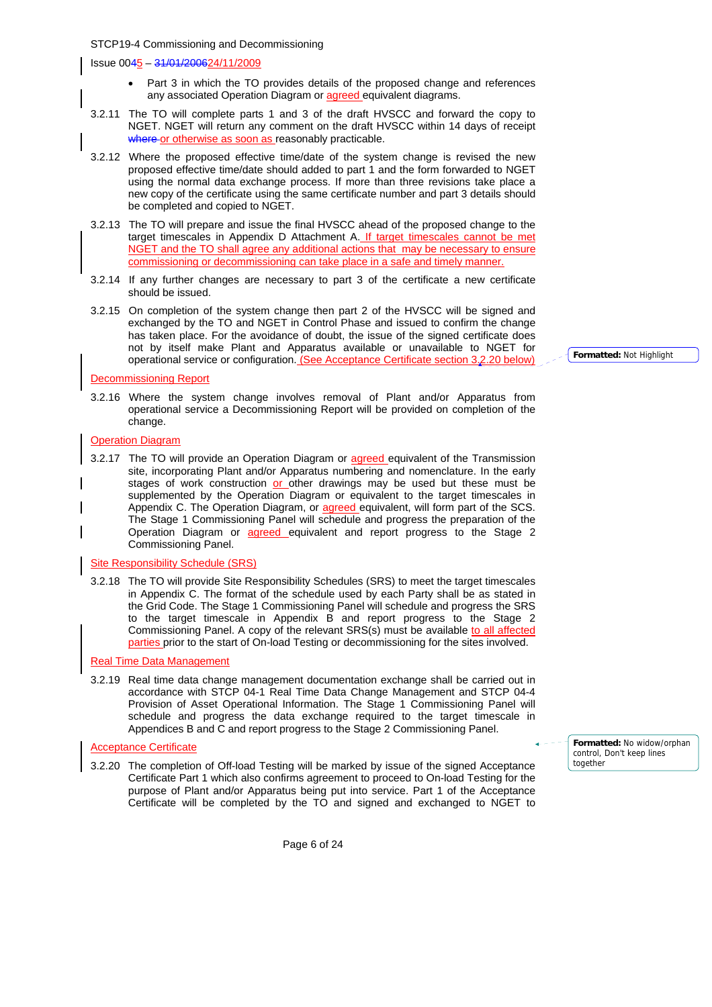Issue 0045 – 31/01/200624/11/2009

- Part 3 in which the TO provides details of the proposed change and references any associated Operation Diagram or **agreed** equivalent diagrams.
- 3.2.11 The TO will complete parts 1 and 3 of the draft HVSCC and forward the copy to NGET. NGET will return any comment on the draft HVSCC within 14 days of receipt where or otherwise as soon as reasonably practicable.
- 3.2.12 Where the proposed effective time/date of the system change is revised the new proposed effective time/date should added to part 1 and the form forwarded to NGET using the normal data exchange process. If more than three revisions take place a new copy of the certificate using the same certificate number and part 3 details should be completed and copied to NGET.
- 3.2.13 The TO will prepare and issue the final HVSCC ahead of the proposed change to the target timescales in Appendix D Attachment A. If target timescales cannot be met NGET and the TO shall agree any additional actions that may be necessary to ensure commissioning or decommissioning can take place in a safe and timely manner.
- 3.2.14 If any further changes are necessary to part 3 of the certificate a new certificate should be issued.
- 3.2.15 On completion of the system change then part 2 of the HVSCC will be signed and exchanged by the TO and NGET in Control Phase and issued to confirm the change has taken place. For the avoidance of doubt, the issue of the signed certificate does not by itself make Plant and Apparatus available or unavailable to NGET for operational service or configuration. (See Acceptance Certificate section 3.2.20 below)

Decommissioning Report

3.2.16 Where the system change involves removal of Plant and/or Apparatus from operational service a Decommissioning Report will be provided on completion of the change.

#### Operation Diagram

3.2.17 The TO will provide an Operation Diagram or agreed equivalent of the Transmission site, incorporating Plant and/or Apparatus numbering and nomenclature. In the early stages of work construction or other drawings may be used but these must be supplemented by the Operation Diagram or equivalent to the target timescales in Appendix C. The Operation Diagram, or **agreed** equivalent, will form part of the SCS. The Stage 1 Commissioning Panel will schedule and progress the preparation of the Operation Diagram or agreed equivalent and report progress to the Stage 2 Commissioning Panel.

#### Site Responsibility Schedule (SRS)

3.2.18 The TO will provide Site Responsibility Schedules (SRS) to meet the target timescales in Appendix C. The format of the schedule used by each Party shall be as stated in the Grid Code. The Stage 1 Commissioning Panel will schedule and progress the SRS to the target timescale in Appendix B and report progress to the Stage 2 Commissioning Panel. A copy of the relevant SRS(s) must be available to all affected parties prior to the start of On-load Testing or decommissioning for the sites involved.

### Real Time Data Management

3.2.19 Real time data change management documentation exchange shall be carried out in accordance with STCP 04-1 Real Time Data Change Management and STCP 04-4 Provision of Asset Operational Information. The Stage 1 Commissioning Panel will schedule and progress the data exchange required to the target timescale in Appendices B and C and report progress to the Stage 2 Commissioning Panel.

#### Acceptance Certificate

3.2.20 The completion of Off-load Testing will be marked by issue of the signed Acceptance Certificate Part 1 which also confirms agreement to proceed to On-load Testing for the purpose of Plant and/or Apparatus being put into service. Part 1 of the Acceptance Certificate will be completed by the TO and signed and exchanged to NGET to

**Formatted:** No widow/orphan control, Don't keep lines together

**Formatted:** Not Highlight

Page 6 of 24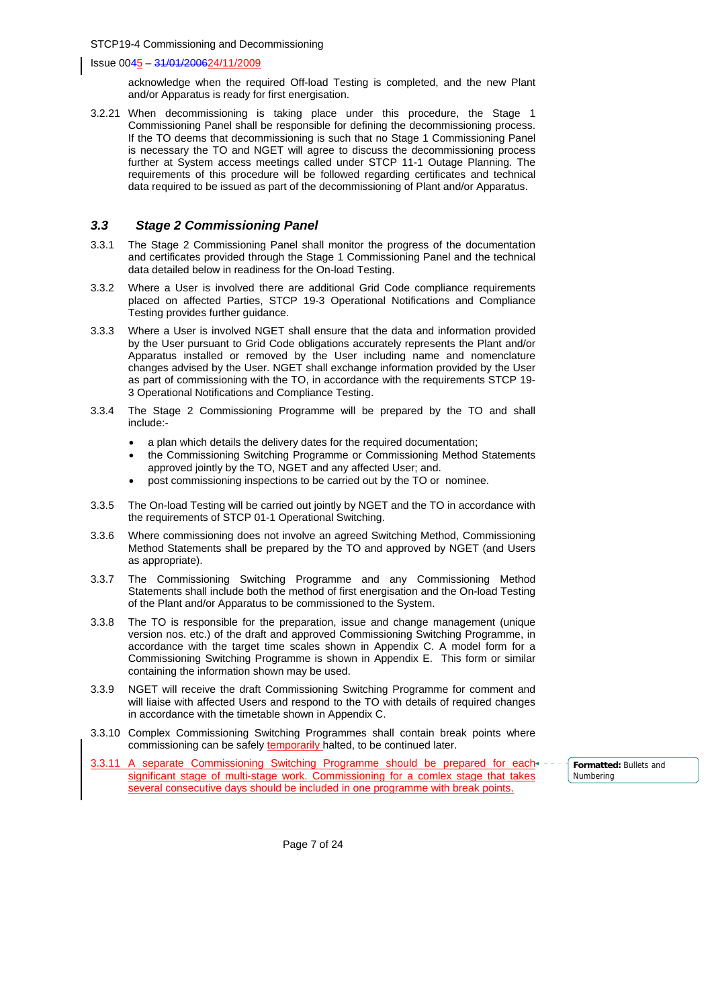Issue 0045 – 31/01/200624/11/2009

acknowledge when the required Off-load Testing is completed, and the new Plant and/or Apparatus is ready for first energisation.

3.2.21 When decommissioning is taking place under this procedure, the Stage 1 Commissioning Panel shall be responsible for defining the decommissioning process. If the TO deems that decommissioning is such that no Stage 1 Commissioning Panel is necessary the TO and NGET will agree to discuss the decommissioning process further at System access meetings called under STCP 11-1 Outage Planning. The requirements of this procedure will be followed regarding certificates and technical data required to be issued as part of the decommissioning of Plant and/or Apparatus.

### *3.3 Stage 2 Commissioning Panel*

- 3.3.1 The Stage 2 Commissioning Panel shall monitor the progress of the documentation and certificates provided through the Stage 1 Commissioning Panel and the technical data detailed below in readiness for the On-load Testing.
- 3.3.2 Where a User is involved there are additional Grid Code compliance requirements placed on affected Parties, STCP 19-3 Operational Notifications and Compliance Testing provides further guidance.
- 3.3.3 Where a User is involved NGET shall ensure that the data and information provided by the User pursuant to Grid Code obligations accurately represents the Plant and/or Apparatus installed or removed by the User including name and nomenclature changes advised by the User. NGET shall exchange information provided by the User as part of commissioning with the TO, in accordance with the requirements STCP 19- 3 Operational Notifications and Compliance Testing.
- 3.3.4 The Stage 2 Commissioning Programme will be prepared by the TO and shall include:
	- a plan which details the delivery dates for the required documentation;
	- the Commissioning Switching Programme or Commissioning Method Statements approved jointly by the TO, NGET and any affected User; and.
	- post commissioning inspections to be carried out by the TO or nominee.
- 3.3.5 The On-load Testing will be carried out jointly by NGET and the TO in accordance with the requirements of STCP 01-1 Operational Switching.
- 3.3.6 Where commissioning does not involve an agreed Switching Method, Commissioning Method Statements shall be prepared by the TO and approved by NGET (and Users as appropriate).
- 3.3.7 The Commissioning Switching Programme and any Commissioning Method Statements shall include both the method of first energisation and the On-load Testing of the Plant and/or Apparatus to be commissioned to the System.
- 3.3.8 The TO is responsible for the preparation, issue and change management (unique version nos. etc.) of the draft and approved Commissioning Switching Programme, in accordance with the target time scales shown in Appendix C. A model form for a Commissioning Switching Programme is shown in Appendix E. This form or similar containing the information shown may be used.
- 3.3.9 NGET will receive the draft Commissioning Switching Programme for comment and will liaise with affected Users and respond to the TO with details of required changes in accordance with the timetable shown in Appendix C.
- 3.3.10 Complex Commissioning Switching Programmes shall contain break points where commissioning can be safely temporarily halted, to be continued later.
- 3.3.11 A separate Commissioning Switching Programme should be prepared for each significant stage of multi-stage work. Commissioning for a comlex stage that takes several consecutive days should be included in one programme with break points.

**Formatted:** Bullets and Numbering

Page 7 of 24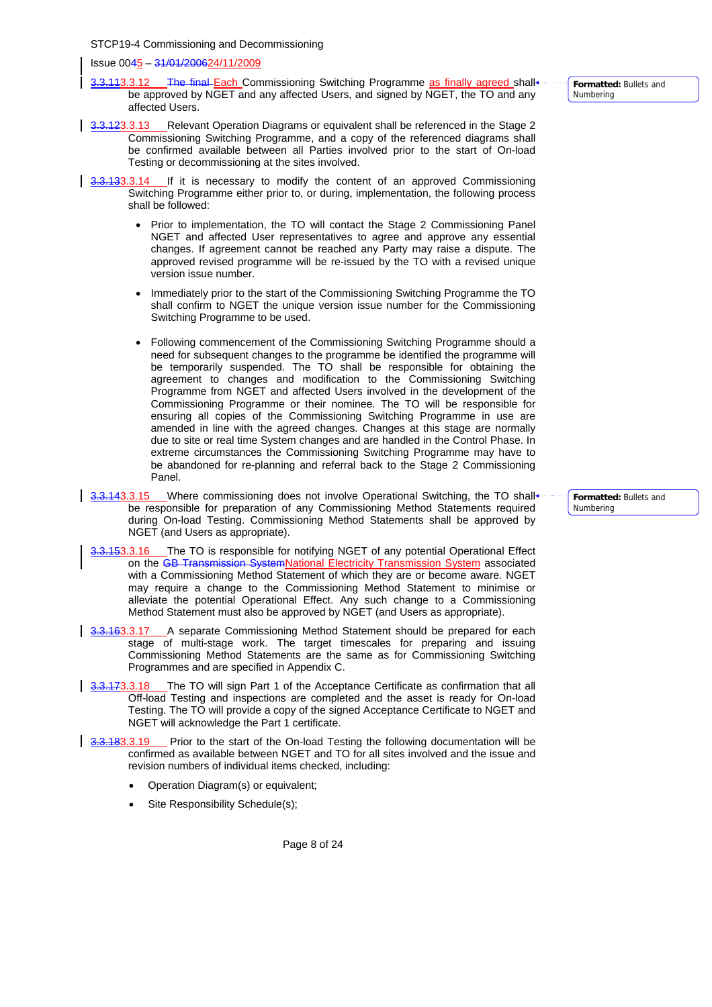Issue 0045 – 31/01/200624/11/2009

- 3.3.113.3.12 The final Each Commissioning Switching Programme as finally agreed shall be approved by NGET and any affected Users, and signed by NGET, the TO and any affected Users.
- 3.3.123.3.13 Relevant Operation Diagrams or equivalent shall be referenced in the Stage 2 Commissioning Switching Programme, and a copy of the referenced diagrams shall be confirmed available between all Parties involved prior to the start of On-load Testing or decommissioning at the sites involved.
- 3.3.133.3.14 If it is necessary to modify the content of an approved Commissioning Switching Programme either prior to, or during, implementation, the following process shall be followed:
	- Prior to implementation, the TO will contact the Stage 2 Commissioning Panel NGET and affected User representatives to agree and approve any essential changes. If agreement cannot be reached any Party may raise a dispute. The approved revised programme will be re-issued by the TO with a revised unique version issue number.
	- Immediately prior to the start of the Commissioning Switching Programme the TO shall confirm to NGET the unique version issue number for the Commissioning Switching Programme to be used.
	- Following commencement of the Commissioning Switching Programme should a need for subsequent changes to the programme be identified the programme will be temporarily suspended. The TO shall be responsible for obtaining the agreement to changes and modification to the Commissioning Switching Programme from NGET and affected Users involved in the development of the Commissioning Programme or their nominee. The TO will be responsible for ensuring all copies of the Commissioning Switching Programme in use are amended in line with the agreed changes. Changes at this stage are normally due to site or real time System changes and are handled in the Control Phase. In extreme circumstances the Commissioning Switching Programme may have to be abandoned for re-planning and referral back to the Stage 2 Commissioning Panel.
- 3.3.143.3.15 Where commissioning does not involve Operational Switching, the TO shall be responsible for preparation of any Commissioning Method Statements required during On-load Testing. Commissioning Method Statements shall be approved by NGET (and Users as appropriate).
- 3.3.153.3.16 The TO is responsible for notifying NGET of any potential Operational Effect on the GB Transmission SystemNational Electricity Transmission System associated with a Commissioning Method Statement of which they are or become aware. NGET may require a change to the Commissioning Method Statement to minimise or alleviate the potential Operational Effect. Any such change to a Commissioning Method Statement must also be approved by NGET (and Users as appropriate).
- 3.3.163.3.17 A separate Commissioning Method Statement should be prepared for each stage of multi-stage work. The target timescales for preparing and issuing Commissioning Method Statements are the same as for Commissioning Switching Programmes and are specified in Appendix C.
- 3.3.173.3.18 The TO will sign Part 1 of the Acceptance Certificate as confirmation that all Off-load Testing and inspections are completed and the asset is ready for On-load Testing. The TO will provide a copy of the signed Acceptance Certificate to NGET and NGET will acknowledge the Part 1 certificate.
- 3.3.183.3.19 Prior to the start of the On-load Testing the following documentation will be confirmed as available between NGET and TO for all sites involved and the issue and revision numbers of individual items checked, including:
	- Operation Diagram(s) or equivalent;
	- Site Responsibility Schedule(s);

Page 8 of 24

**Formatted:** Bullets and Numbering

**Formatted:** Bullets and Numbering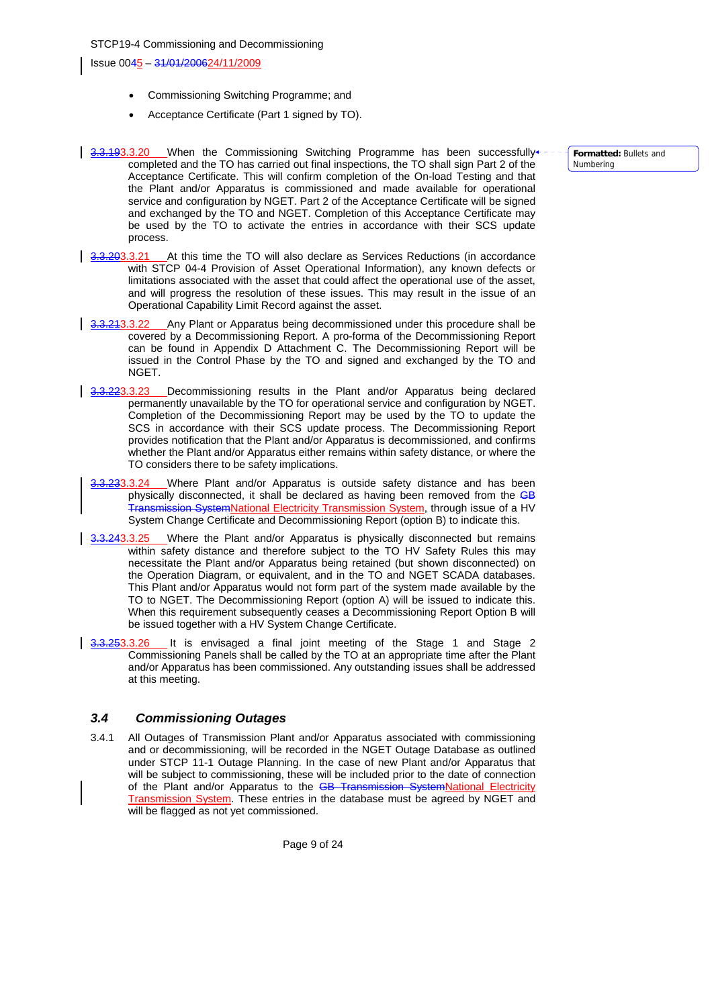- Commissioning Switching Programme; and
- Acceptance Certificate (Part 1 signed by TO).
- 3.3.193.3.20 When the Commissioning Switching Programme has been successfully completed and the TO has carried out final inspections, the TO shall sign Part 2 of the Acceptance Certificate. This will confirm completion of the On-load Testing and that the Plant and/or Apparatus is commissioned and made available for operational service and configuration by NGET. Part 2 of the Acceptance Certificate will be signed and exchanged by the TO and NGET. Completion of this Acceptance Certificate may be used by the TO to activate the entries in accordance with their SCS update process.
- 3.3.203.3.21 At this time the TO will also declare as Services Reductions (in accordance with STCP 04-4 Provision of Asset Operational Information), any known defects or limitations associated with the asset that could affect the operational use of the asset, and will progress the resolution of these issues. This may result in the issue of an Operational Capability Limit Record against the asset.
- 3.3.243.3.22 Any Plant or Apparatus being decommissioned under this procedure shall be covered by a Decommissioning Report. A pro-forma of the Decommissioning Report can be found in Appendix D Attachment C. The Decommissioning Report will be issued in the Control Phase by the TO and signed and exchanged by the TO and NGET.
- 3.3.223.3.23 Decommissioning results in the Plant and/or Apparatus being declared permanently unavailable by the TO for operational service and configuration by NGET. Completion of the Decommissioning Report may be used by the TO to update the SCS in accordance with their SCS update process. The Decommissioning Report provides notification that the Plant and/or Apparatus is decommissioned, and confirms whether the Plant and/or Apparatus either remains within safety distance, or where the TO considers there to be safety implications.
- Where Plant and/or Apparatus is outside safety distance and has been physically disconnected, it shall be declared as having been removed from the GB i<del>on System</del>National Electricity Transmission System, through issue of a HV System Change Certificate and Decommissioning Report (option B) to indicate this.
- **3.3.243.3.25** Where the Plant and/or Apparatus is physically disconnected but remains within safety distance and therefore subject to the TO HV Safety Rules this may necessitate the Plant and/or Apparatus being retained (but shown disconnected) on the Operation Diagram, or equivalent, and in the TO and NGET SCADA databases. This Plant and/or Apparatus would not form part of the system made available by the TO to NGET. The Decommissioning Report (option A) will be issued to indicate this. When this requirement subsequently ceases a Decommissioning Report Option B will be issued together with a HV System Change Certificate.
- 3.3.253.3.26 It is envisaged a final joint meeting of the Stage 1 and Stage 2 Commissioning Panels shall be called by the TO at an appropriate time after the Plant and/or Apparatus has been commissioned. Any outstanding issues shall be addressed at this meeting.

## *3.4 Commissioning Outages*

3.4.1 All Outages of Transmission Plant and/or Apparatus associated with commissioning and or decommissioning, will be recorded in the NGET Outage Database as outlined under STCP 11-1 Outage Planning. In the case of new Plant and/or Apparatus that will be subject to commissioning, these will be included prior to the date of connection of the Plant and/or Apparatus to the GB Transmission System National Electricity Transmission System. These entries in the database must be agreed by NGET and will be flagged as not yet commissioned.

**Formatted:** Bullets and Numbering

Page 9 of 24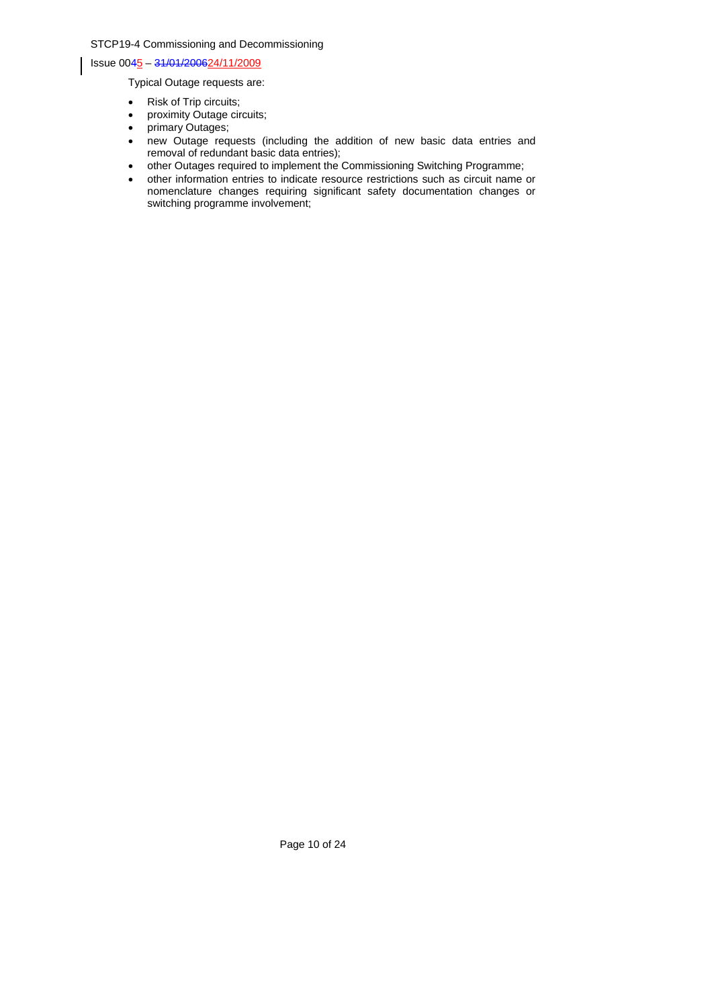Issue 0045 – 31/01/200624/11/2009

Typical Outage requests are:

- Risk of Trip circuits;
- proximity Outage circuits;
- primary Outages;
- new Outage requests (including the addition of new basic data entries and removal of redundant basic data entries);
- other Outages required to implement the Commissioning Switching Programme;
- other information entries to indicate resource restrictions such as circuit name or nomenclature changes requiring significant safety documentation changes or switching programme involvement;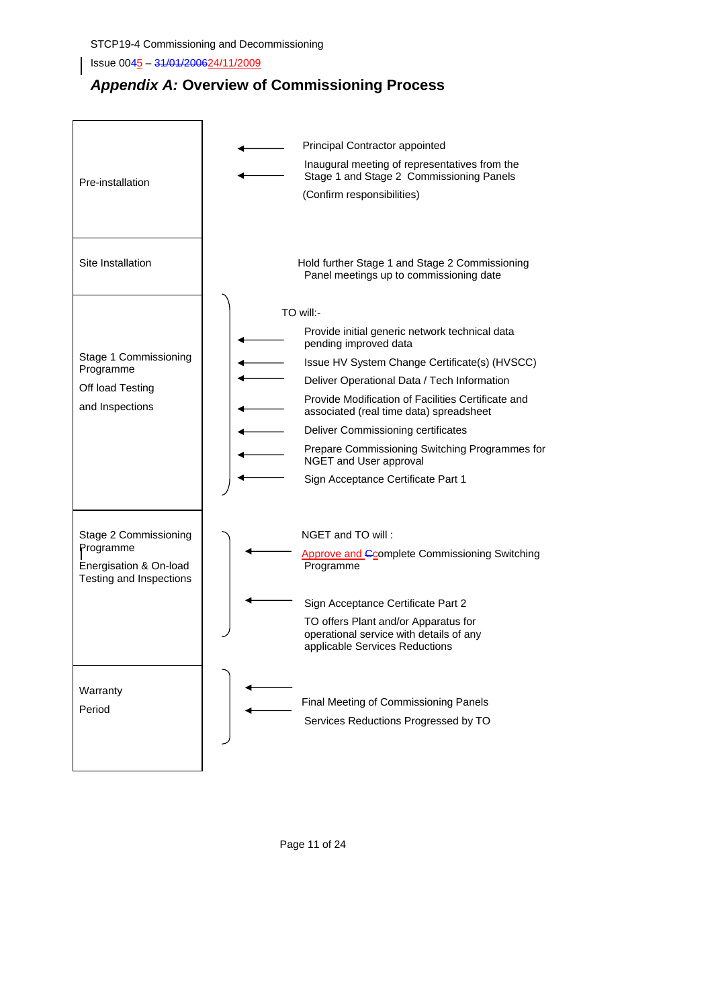Issue 0045 – 31/01/200624/11/2009

## *Appendix A:* **Overview of Commissioning Process**



Page 11 of 24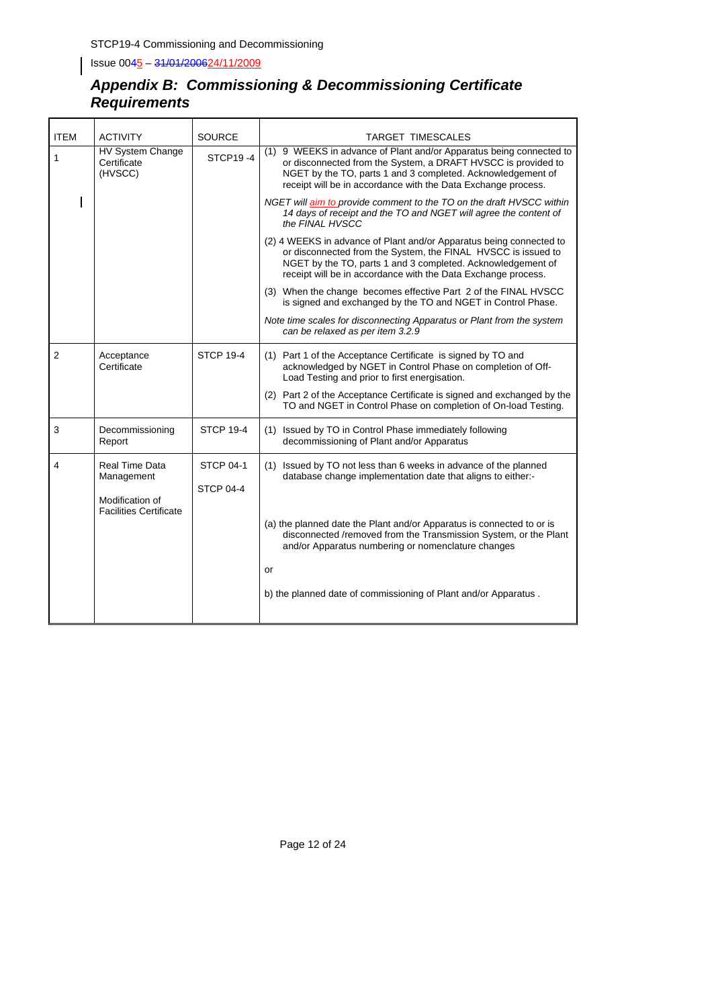## *Appendix B: Commissioning & Decommissioning Certificate Requirements*

| <b>ITEM</b>    | <b>ACTIVITY</b>                                                                  | <b>SOURCE</b>                        | TARGET TIMESCALES                                                                                                                                                                                                                                                    |
|----------------|----------------------------------------------------------------------------------|--------------------------------------|----------------------------------------------------------------------------------------------------------------------------------------------------------------------------------------------------------------------------------------------------------------------|
| $\mathbf{1}$   | HV System Change<br>Certificate<br>(HVSCC)                                       | <b>STCP19-4</b>                      | (1) 9 WEEKS in advance of Plant and/or Apparatus being connected to<br>or disconnected from the System, a DRAFT HVSCC is provided to<br>NGET by the TO, parts 1 and 3 completed. Acknowledgement of<br>receipt will be in accordance with the Data Exchange process. |
|                |                                                                                  |                                      | NGET will aim to provide comment to the TO on the draft HVSCC within<br>14 days of receipt and the TO and NGET will agree the content of<br>the FINAL HVSCC                                                                                                          |
|                |                                                                                  |                                      | (2) 4 WEEKS in advance of Plant and/or Apparatus being connected to<br>or disconnected from the System, the FINAL HVSCC is issued to<br>NGET by the TO, parts 1 and 3 completed. Acknowledgement of<br>receipt will be in accordance with the Data Exchange process. |
|                |                                                                                  |                                      | (3) When the change becomes effective Part 2 of the FINAL HVSCC<br>is signed and exchanged by the TO and NGET in Control Phase.                                                                                                                                      |
|                |                                                                                  |                                      | Note time scales for disconnecting Apparatus or Plant from the system<br>can be relaxed as per item 3.2.9                                                                                                                                                            |
| $\overline{2}$ | Acceptance<br>Certificate                                                        | <b>STCP 19-4</b>                     | (1) Part 1 of the Acceptance Certificate is signed by TO and<br>acknowledged by NGET in Control Phase on completion of Off-<br>Load Testing and prior to first energisation.                                                                                         |
|                |                                                                                  |                                      | (2) Part 2 of the Acceptance Certificate is signed and exchanged by the<br>TO and NGET in Control Phase on completion of On-load Testing.                                                                                                                            |
| 3              | Decommissioning<br>Report                                                        | <b>STCP 19-4</b>                     | (1) Issued by TO in Control Phase immediately following<br>decommissioning of Plant and/or Apparatus                                                                                                                                                                 |
| 4              | Real Time Data<br>Management<br>Modification of<br><b>Facilities Certificate</b> | <b>STCP 04-1</b><br><b>STCP 04-4</b> | (1) Issued by TO not less than 6 weeks in advance of the planned<br>database change implementation date that aligns to either:-                                                                                                                                      |
|                |                                                                                  |                                      | (a) the planned date the Plant and/or Apparatus is connected to or is<br>disconnected /removed from the Transmission System, or the Plant<br>and/or Apparatus numbering or nomenclature changes                                                                      |
|                |                                                                                  |                                      | or                                                                                                                                                                                                                                                                   |
|                |                                                                                  |                                      | b) the planned date of commissioning of Plant and/or Apparatus.                                                                                                                                                                                                      |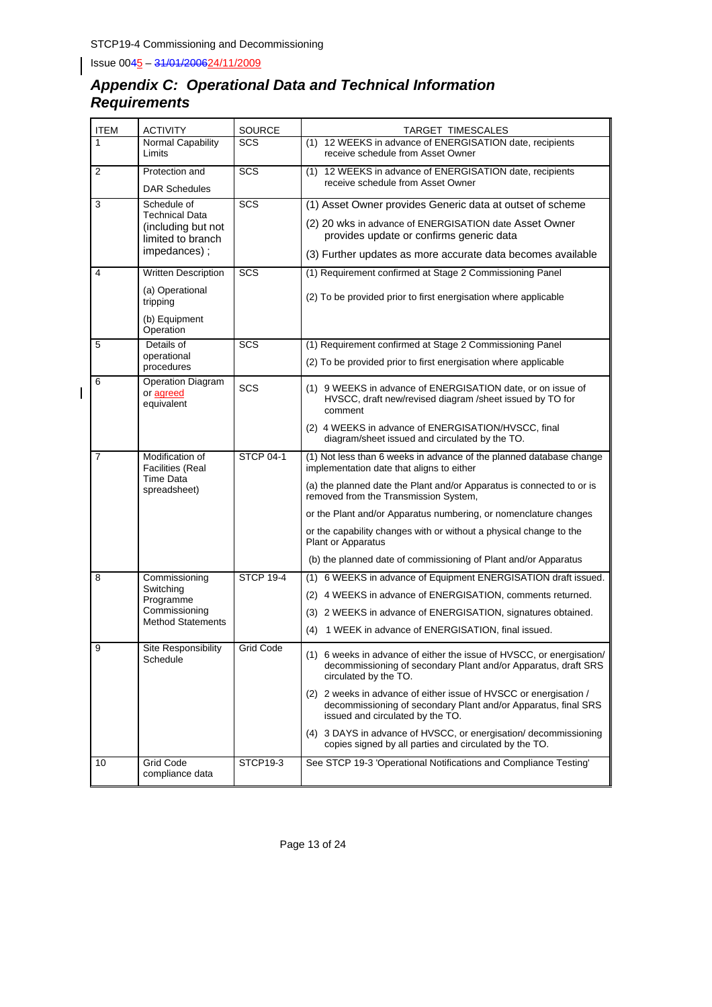$\begin{array}{c} \hline \end{array}$ 

## *Appendix C: Operational Data and Technical Information Requirements*

| <b>ITEM</b>    | <b>ACTIVITY</b>                                                                                 | <b>SOURCE</b>    | TARGET TIMESCALES                                                                                                                                                                                                                                                                                                                                                                                                                                                        |
|----------------|-------------------------------------------------------------------------------------------------|------------------|--------------------------------------------------------------------------------------------------------------------------------------------------------------------------------------------------------------------------------------------------------------------------------------------------------------------------------------------------------------------------------------------------------------------------------------------------------------------------|
| 1              | Normal Capability<br>Limits                                                                     | SCS              | (1) 12 WEEKS in advance of ENERGISATION date, recipients<br>receive schedule from Asset Owner                                                                                                                                                                                                                                                                                                                                                                            |
| 2              | Protection and<br><b>DAR Schedules</b>                                                          | SCS              | (1) 12 WEEKS in advance of ENERGISATION date, recipients<br>receive schedule from Asset Owner                                                                                                                                                                                                                                                                                                                                                                            |
| 3              | Schedule of<br><b>Technical Data</b><br>(including but not<br>limited to branch<br>impedances); | <b>SCS</b>       | (1) Asset Owner provides Generic data at outset of scheme<br>(2) 20 wks in advance of ENERGISATION date Asset Owner<br>provides update or confirms generic data<br>(3) Further updates as more accurate data becomes available                                                                                                                                                                                                                                           |
| 4              | <b>Written Description</b><br>(a) Operational<br>tripping<br>(b) Equipment<br>Operation         | SCS              | (1) Requirement confirmed at Stage 2 Commissioning Panel<br>(2) To be provided prior to first energisation where applicable                                                                                                                                                                                                                                                                                                                                              |
| 5              | Details of<br>operational<br>procedures                                                         | <b>SCS</b>       | (1) Requirement confirmed at Stage 2 Commissioning Panel<br>(2) To be provided prior to first energisation where applicable                                                                                                                                                                                                                                                                                                                                              |
| 6              | <b>Operation Diagram</b><br>or agreed<br>equivalent                                             | <b>SCS</b>       | (1) 9 WEEKS in advance of ENERGISATION date, or on issue of<br>HVSCC, draft new/revised diagram /sheet issued by TO for<br>comment<br>(2) 4 WEEKS in advance of ENERGISATION/HVSCC, final<br>diagram/sheet issued and circulated by the TO.                                                                                                                                                                                                                              |
| $\overline{7}$ | Modification of<br><b>Facilities (Real</b><br><b>Time Data</b><br>spreadsheet)                  | <b>STCP 04-1</b> | (1) Not less than 6 weeks in advance of the planned database change<br>implementation date that aligns to either<br>(a) the planned date the Plant and/or Apparatus is connected to or is<br>removed from the Transmission System,<br>or the Plant and/or Apparatus numbering, or nomenclature changes<br>or the capability changes with or without a physical change to the<br>Plant or Apparatus<br>(b) the planned date of commissioning of Plant and/or Apparatus    |
| 8              | Commissioning<br>Switching<br>Programme<br>Commissioning<br><b>Method Statements</b>            | <b>STCP 19-4</b> | (1) 6 WEEKS in advance of Equipment ENERGISATION draft issued.<br>(2) 4 WEEKS in advance of ENERGISATION, comments returned.<br>(3) 2 WEEKS in advance of ENERGISATION, signatures obtained.<br>(4) 1 WEEK in advance of ENERGISATION, final issued.                                                                                                                                                                                                                     |
| 9              | Site Responsibility<br>Schedule                                                                 | <b>Grid Code</b> | (1) 6 weeks in advance of either the issue of HVSCC, or energisation/<br>decommissioning of secondary Plant and/or Apparatus, draft SRS<br>circulated by the TO.<br>(2) 2 weeks in advance of either issue of HVSCC or energisation /<br>decommissioning of secondary Plant and/or Apparatus, final SRS<br>issued and circulated by the TO.<br>(4) 3 DAYS in advance of HVSCC, or energisation/decommissioning<br>copies signed by all parties and circulated by the TO. |
| 10             | <b>Grid Code</b><br>compliance data                                                             | <b>STCP19-3</b>  | See STCP 19-3 'Operational Notifications and Compliance Testing'                                                                                                                                                                                                                                                                                                                                                                                                         |

Page 13 of 24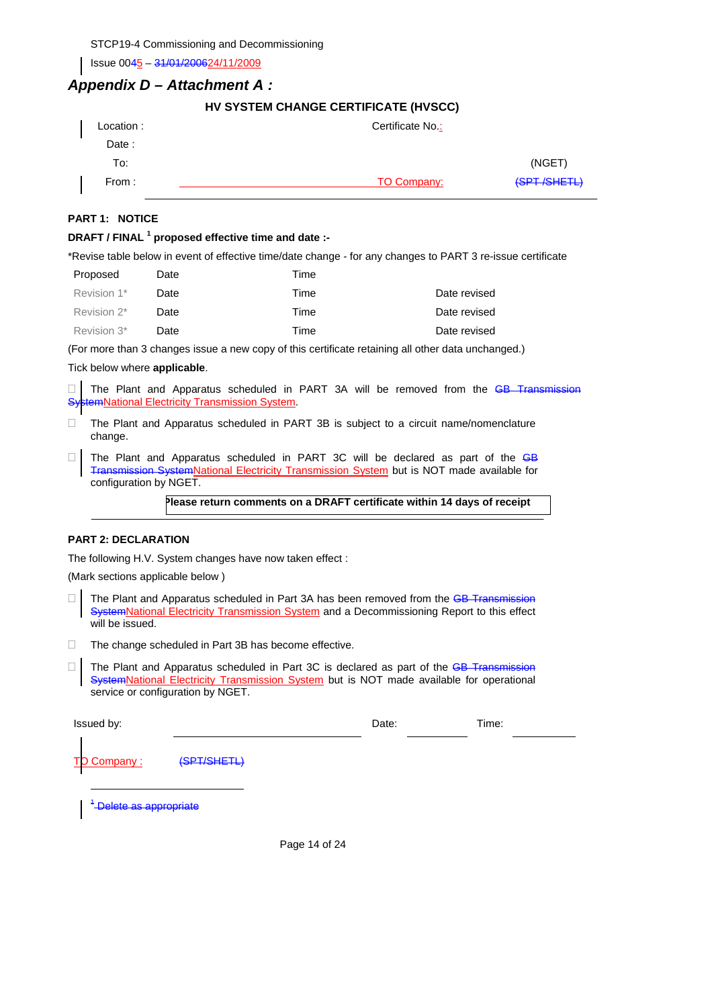Issue 0045 – 31/01/200624/11/2009

## *Appendix D – Attachment A :*

|  |  |  | HV SYSTEM CHANGE CERTIFICATE (HVSCC) |  |
|--|--|--|--------------------------------------|--|
|--|--|--|--------------------------------------|--|

| Location: | Certificate No.: |             |
|-----------|------------------|-------------|
| Date:     |                  |             |
| To:       |                  | (NGET)      |
| From :    | TO Company:      | (SPT/SHETL) |

## **PART 1: NOTICE**

### **DRAFT / FINAL <sup>1</sup> proposed effective time and date :-**

\*Revise table below in event of effective time/date change - for any changes to PART 3 re-issue certificate

| Proposed    | Date | Time |              |
|-------------|------|------|--------------|
| Revision 1* | Date | Time | Date revised |
| Revision 2* | Date | Time | Date revised |
| Revision 3* | Date | Time | Date revised |
|             |      |      |              |

(For more than 3 changes issue a new copy of this certificate retaining all other data unchanged.)

### Tick below where **applicable**.

 $\Box$  The Plant and Apparatus scheduled in PART 3A will be removed from the  $\overline{GB}$  Transmission SystemNational Electricity Transmission System.

- The Plant and Apparatus scheduled in PART 3B is subject to a circuit name/nomenclature change.
- $\Box$  The Plant and Apparatus scheduled in PART 3C will be declared as part of the GB Transmission SystemNational Electricity Transmission System but is NOT made available for configuration by NGET.

**Please return comments on a DRAFT certificate within 14 days of receipt** 

### **PART 2: DECLARATION**

The following H.V. System changes have now taken effect :

(Mark sections applicable below )

- $\Box$  The Plant and Apparatus scheduled in Part 3A has been removed from the GB Transmission **SystemNational Electricity Transmission System and a Decommissioning Report to this effect** will be issued.
- $\Box$  The change scheduled in Part 3B has become effective.
- $\Box$  The Plant and Apparatus scheduled in Part 3C is declared as part of the GB Transmission SystemNational Electricity Transmission System but is NOT made available for operational service or configuration by NGET.

| Issued by:  |             | Date: | Time: |
|-------------|-------------|-------|-------|
| TO Company: | (SPT/SHETL) |       |       |

1 Delete as appropriate

 $\overline{a}$ 

Page 14 of 24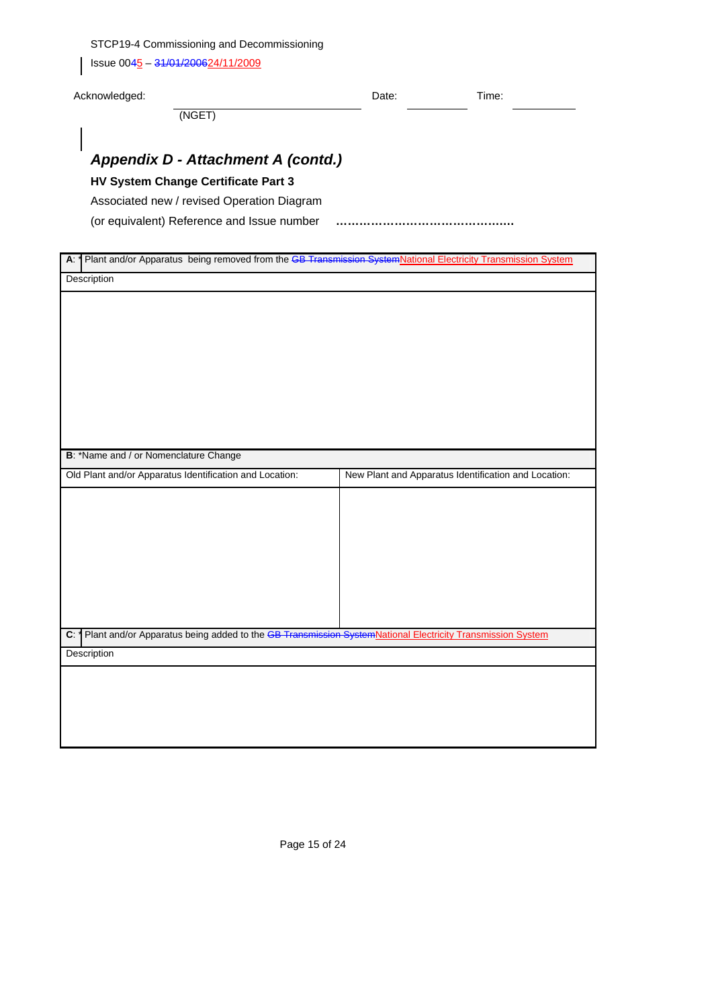$\left| \right|$  Issue 0045 – 31/01/200624/11/2009

| $\mathbf{I}$                                                                                                                               |       |                                                      |
|--------------------------------------------------------------------------------------------------------------------------------------------|-------|------------------------------------------------------|
| Acknowledged:                                                                                                                              | Date: | Time:                                                |
| (NGET)                                                                                                                                     |       |                                                      |
|                                                                                                                                            |       |                                                      |
| Appendix D - Attachment A (contd.)                                                                                                         |       |                                                      |
| HV System Change Certificate Part 3                                                                                                        |       |                                                      |
| Associated new / revised Operation Diagram                                                                                                 |       |                                                      |
| (or equivalent) Reference and Issue number                                                                                                 |       |                                                      |
|                                                                                                                                            |       |                                                      |
| A: <sup>*</sup>   Plant and/or Apparatus being removed from the <del>GB Transmission System</del> National Electricity Transmission System |       |                                                      |
| Description                                                                                                                                |       |                                                      |
|                                                                                                                                            |       |                                                      |
|                                                                                                                                            |       |                                                      |
|                                                                                                                                            |       |                                                      |
|                                                                                                                                            |       |                                                      |
|                                                                                                                                            |       |                                                      |
|                                                                                                                                            |       |                                                      |
|                                                                                                                                            |       |                                                      |
|                                                                                                                                            |       |                                                      |
|                                                                                                                                            |       |                                                      |
|                                                                                                                                            |       |                                                      |
|                                                                                                                                            |       |                                                      |
|                                                                                                                                            |       |                                                      |
| B: *Name and / or Nomenclature Change                                                                                                      |       |                                                      |
| Old Plant and/or Apparatus Identification and Location:                                                                                    |       | New Plant and Apparatus Identification and Location: |
|                                                                                                                                            |       |                                                      |
|                                                                                                                                            |       |                                                      |
|                                                                                                                                            |       |                                                      |
|                                                                                                                                            |       |                                                      |
|                                                                                                                                            |       |                                                      |
|                                                                                                                                            |       |                                                      |
|                                                                                                                                            |       |                                                      |
|                                                                                                                                            |       |                                                      |
|                                                                                                                                            |       |                                                      |
|                                                                                                                                            |       |                                                      |
|                                                                                                                                            |       |                                                      |
|                                                                                                                                            |       |                                                      |
|                                                                                                                                            |       |                                                      |
|                                                                                                                                            |       |                                                      |
| C: 1 Plant and/or Apparatus being added to the <del>GB Transmission System</del> National Electricity Transmission System<br>Description   |       |                                                      |
|                                                                                                                                            |       |                                                      |
|                                                                                                                                            |       |                                                      |
|                                                                                                                                            |       |                                                      |
|                                                                                                                                            |       |                                                      |
|                                                                                                                                            |       |                                                      |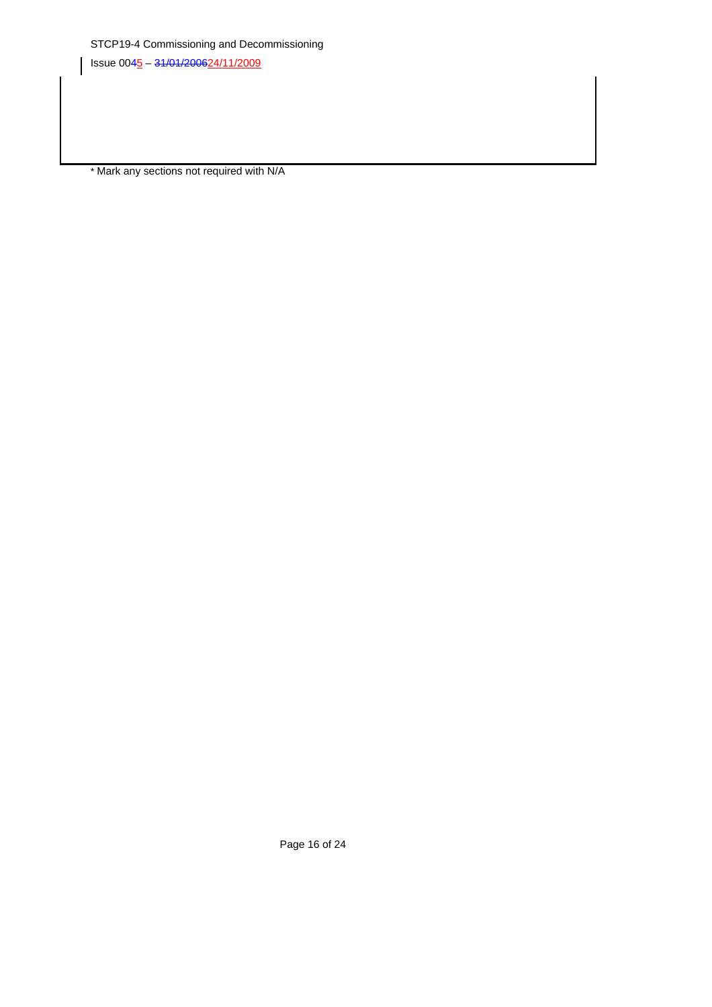\* Mark any sections not required with N/A

Page 16 of 24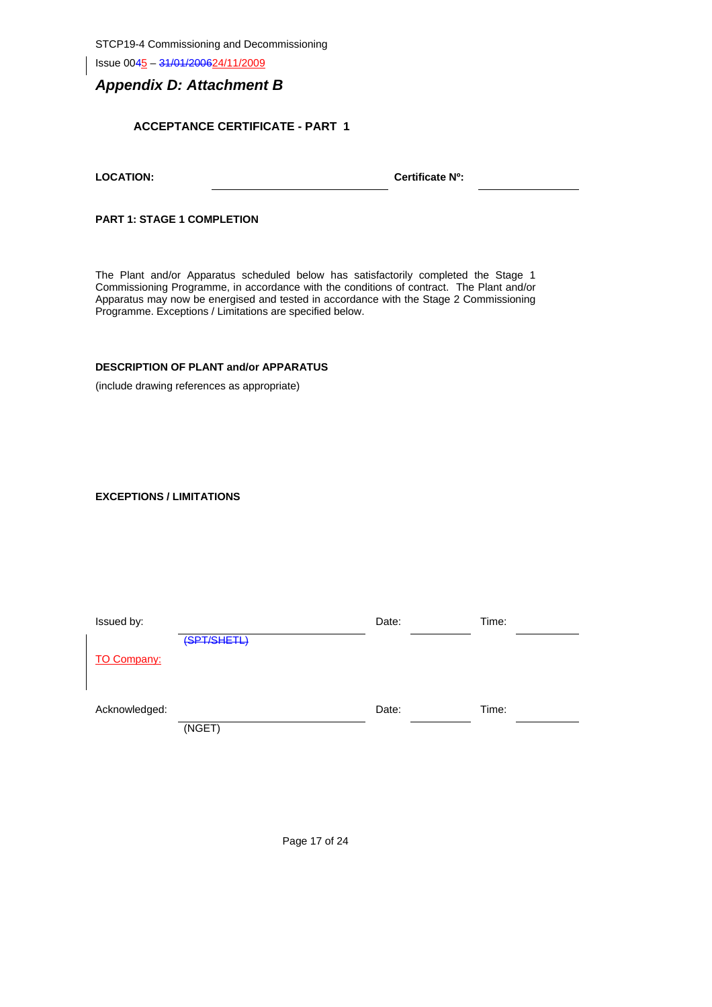Issue 0045 – 31/01/200624/11/2009

## *Appendix D: Attachment B*

## **ACCEPTANCE CERTIFICATE - PART 1**

| <b>LOCATION:</b> |  |
|------------------|--|
|                  |  |

Certificate N<sup>o</sup>:

**PART 1: STAGE 1 COMPLETION** 

The Plant and/or Apparatus scheduled below has satisfactorily completed the Stage 1 Commissioning Programme, in accordance with the conditions of contract. The Plant and/or Apparatus may now be energised and tested in accordance with the Stage 2 Commissioning Programme. Exceptions / Limitations are specified below.

## **DESCRIPTION OF PLANT and/or APPARATUS**

(include drawing references as appropriate)

### **EXCEPTIONS / LIMITATIONS**

| Issued by:         |             | Date: | Time: |
|--------------------|-------------|-------|-------|
|                    | (SPT/SHETL) |       |       |
| <b>TO Company:</b> |             |       |       |
|                    |             |       |       |
|                    |             |       |       |
| Acknowledged:      |             | Date: | Time: |
|                    | (NGET)      |       |       |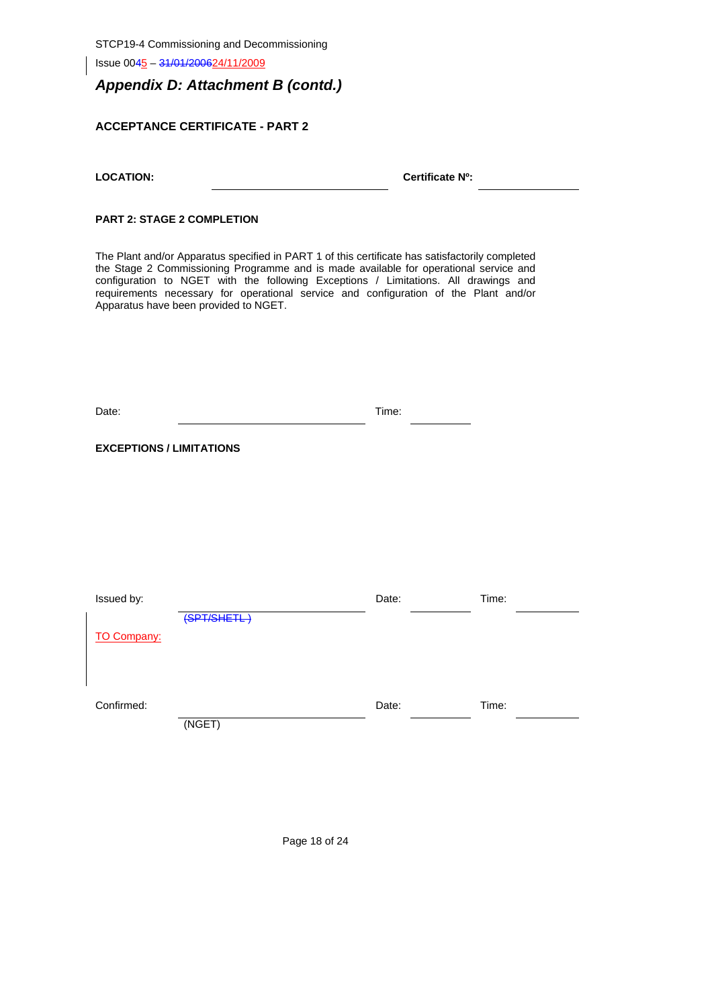Issue 0045 – 31/01/200624/11/2009

## *Appendix D: Attachment B (contd.)*

## **ACCEPTANCE CERTIFICATE - PART 2**

Certificate N<sup>o</sup>:

## **PART 2: STAGE 2 COMPLETION**

The Plant and/or Apparatus specified in PART 1 of this certificate has satisfactorily completed the Stage 2 Commissioning Programme and is made available for operational service and configuration to NGET with the following Exceptions / Limitations. All drawings and requirements necessary for operational service and configuration of the Plant and/or Apparatus have been provided to NGET.

| Date: | Time: |  |
|-------|-------|--|
|       |       |  |

**EXCEPTIONS / LIMITATIONS** 

| Issued by:         |             | Date: | Time: |
|--------------------|-------------|-------|-------|
|                    | (SPT/SHETL) |       |       |
| <b>TO Company:</b> |             |       |       |
|                    |             |       |       |
|                    |             |       |       |
|                    |             |       |       |
| Confirmed:         |             | Date: | Time: |
|                    | (NGET)      |       |       |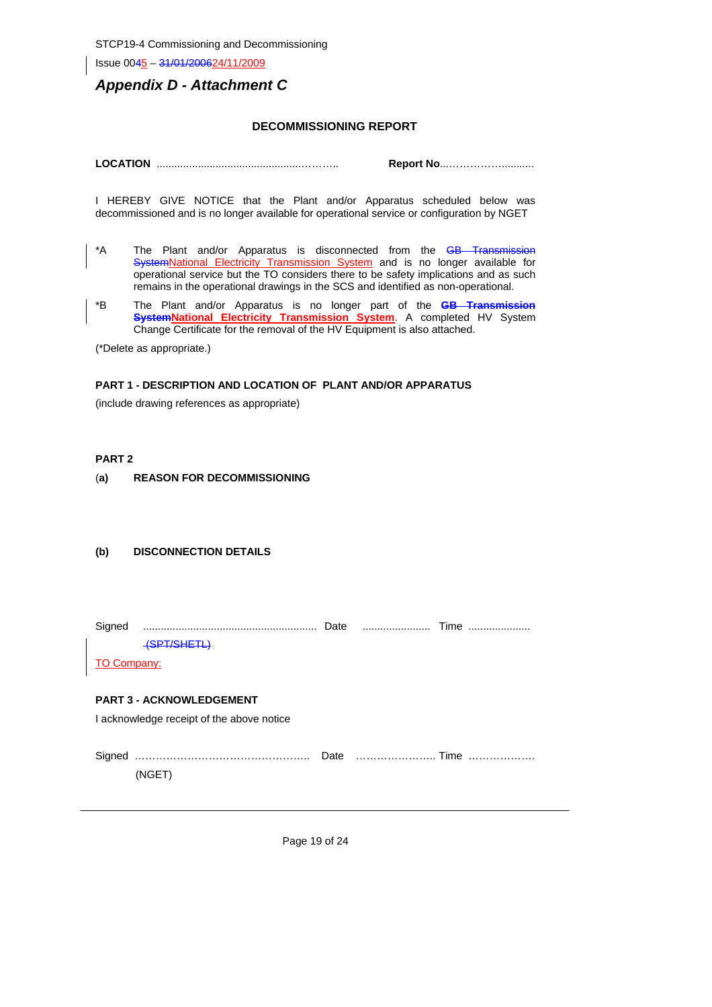Issue 0045 – 31/01/200624/11/2009

## *Appendix D - Attachment C*

### **DECOMMISSIONING REPORT**

**LOCATION** .................................................……….. **Report No**...……………...........

I HEREBY GIVE NOTICE that the Plant and/or Apparatus scheduled below was decommissioned and is no longer available for operational service or configuration by NGET

- \*A The Plant and/or Apparatus is disconnected from the GB Transmission SystemNational Electricity Transmission System and is no longer available for operational service but the TO considers there to be safety implications and as such remains in the operational drawings in the SCS and identified as non-operational.
- \*B The Plant and/or Apparatus is no longer part of the **GB Transmission SystemNational Electricity Transmission System**. A completed HV System Change Certificate for the removal of the HV Equipment is also attached.

(\*Delete as appropriate.)

### **PART 1 - DESCRIPTION AND LOCATION OF PLANT AND/OR APPARATUS**

(include drawing references as appropriate)

### **PART 2**

### (**a) REASON FOR DECOMMISSIONING**

### **(b) DISCONNECTION DETAILS**

|                    | <del>(SPT/SHETL)</del>                    |  |  |
|--------------------|-------------------------------------------|--|--|
| <b>TO Company:</b> |                                           |  |  |
|                    |                                           |  |  |
|                    | <b>PART 3 - ACKNOWLEDGEMENT</b>           |  |  |
|                    | I acknowledge receipt of the above notice |  |  |
|                    |                                           |  |  |
|                    |                                           |  |  |
|                    | (NGET)                                    |  |  |
|                    |                                           |  |  |

Page 19 of 24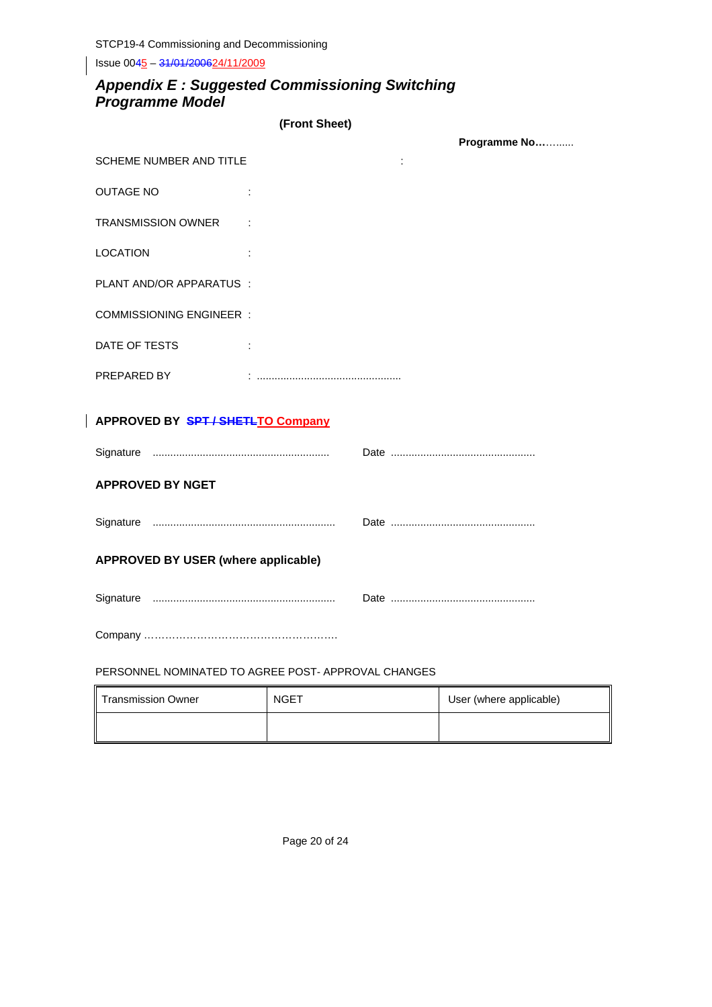Issue 0045 - 31/01/200624/11/2009

## *Appendix E : Suggested Commissioning Switching Programme Model*

| (Front Sheet) |
|---------------|
|               |

|                                            |  | Programme No |
|--------------------------------------------|--|--------------|
| <b>SCHEME NUMBER AND TITLE</b>             |  |              |
| <b>OUTAGE NO</b>                           |  |              |
| TRANSMISSION OWNER :                       |  |              |
| <b>LOCATION</b>                            |  |              |
| PLANT AND/OR APPARATUS :                   |  |              |
| <b>COMMISSIONING ENGINEER:</b>             |  |              |
| DATE OF TESTS                              |  |              |
| PREPARED BY                                |  |              |
| APPROVED BY SPT / SHETLTO Company          |  |              |
|                                            |  |              |
|                                            |  |              |
| <b>APPROVED BY NGET</b>                    |  |              |
|                                            |  |              |
| <b>APPROVED BY USER (where applicable)</b> |  |              |
|                                            |  |              |
|                                            |  |              |

PERSONNEL NOMINATED TO AGREE POST- APPROVAL CHANGES

| <b>Transmission Owner</b> | <b>NGET</b> | User (where applicable) |
|---------------------------|-------------|-------------------------|
|                           |             |                         |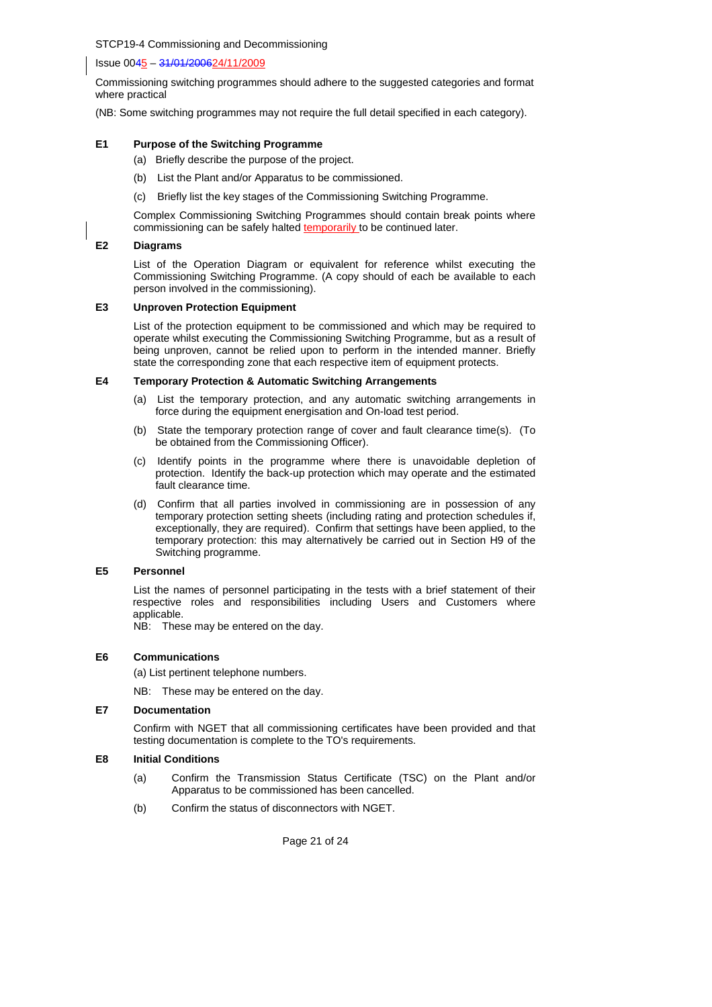Issue 0045 – 31/01/200624/11/2009

Commissioning switching programmes should adhere to the suggested categories and format where practical

(NB: Some switching programmes may not require the full detail specified in each category).

### **E1 Purpose of the Switching Programme**

- (a) Briefly describe the purpose of the project.
- (b) List the Plant and/or Apparatus to be commissioned.
- (c) Briefly list the key stages of the Commissioning Switching Programme.

Complex Commissioning Switching Programmes should contain break points where commissioning can be safely halted temporarily to be continued later.

### **E2 Diagrams**

List of the Operation Diagram or equivalent for reference whilst executing the Commissioning Switching Programme. (A copy should of each be available to each person involved in the commissioning).

### **E3 Unproven Protection Equipment**

List of the protection equipment to be commissioned and which may be required to operate whilst executing the Commissioning Switching Programme, but as a result of being unproven, cannot be relied upon to perform in the intended manner. Briefly state the corresponding zone that each respective item of equipment protects.

### **E4 Temporary Protection & Automatic Switching Arrangements**

- (a) List the temporary protection, and any automatic switching arrangements in force during the equipment energisation and On-load test period.
- (b) State the temporary protection range of cover and fault clearance time(s). (To be obtained from the Commissioning Officer).
- (c) Identify points in the programme where there is unavoidable depletion of protection. Identify the back-up protection which may operate and the estimated fault clearance time.
- (d) Confirm that all parties involved in commissioning are in possession of any temporary protection setting sheets (including rating and protection schedules if, exceptionally, they are required). Confirm that settings have been applied, to the temporary protection: this may alternatively be carried out in Section H9 of the Switching programme.

### **E5 Personnel**

 List the names of personnel participating in the tests with a brief statement of their respective roles and responsibilities including Users and Customers where applicable.

NB: These may be entered on the day.

### **E6 Communications**

(a) List pertinent telephone numbers.

NB: These may be entered on the day.

### **E7 Documentation**

Confirm with NGET that all commissioning certificates have been provided and that testing documentation is complete to the TO's requirements.

### **E8 Initial Conditions**

- (a) Confirm the Transmission Status Certificate (TSC) on the Plant and/or Apparatus to be commissioned has been cancelled.
- (b) Confirm the status of disconnectors with NGET.

Page 21 of 24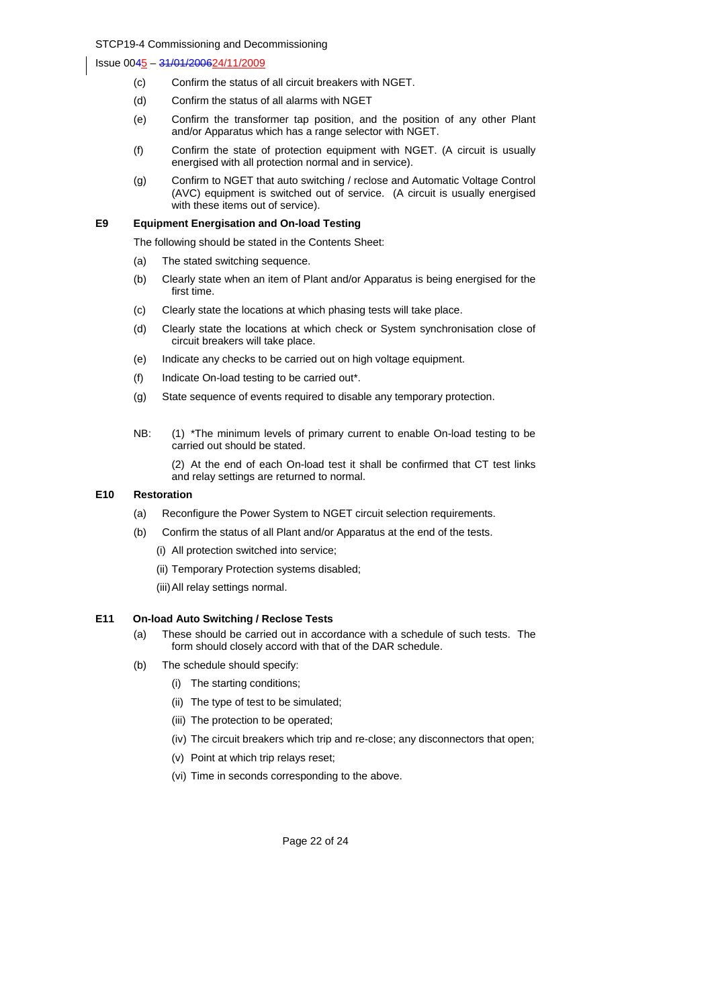- (c) Confirm the status of all circuit breakers with NGET.
- (d) Confirm the status of all alarms with NGET
- (e) Confirm the transformer tap position, and the position of any other Plant and/or Apparatus which has a range selector with NGET.
- (f) Confirm the state of protection equipment with NGET. (A circuit is usually energised with all protection normal and in service).
- (g) Confirm to NGET that auto switching / reclose and Automatic Voltage Control (AVC) equipment is switched out of service. (A circuit is usually energised with these items out of service).

### **E9 Equipment Energisation and On-load Testing**

The following should be stated in the Contents Sheet:

- (a) The stated switching sequence.
- (b) Clearly state when an item of Plant and/or Apparatus is being energised for the first time.
- (c) Clearly state the locations at which phasing tests will take place.
- (d) Clearly state the locations at which check or System synchronisation close of circuit breakers will take place.
- (e) Indicate any checks to be carried out on high voltage equipment.
- (f) Indicate On-load testing to be carried out\*.
- (g) State sequence of events required to disable any temporary protection.
- NB: (1) \*The minimum levels of primary current to enable On-load testing to be carried out should be stated.

 (2) At the end of each On-load test it shall be confirmed that CT test links and relay settings are returned to normal.

### **E10 Restoration**

- (a) Reconfigure the Power System to NGET circuit selection requirements.
- (b) Confirm the status of all Plant and/or Apparatus at the end of the tests.
	- (i) All protection switched into service;
	- (ii) Temporary Protection systems disabled;
	- (iii) All relay settings normal.

### **E11 On-load Auto Switching / Reclose Tests**

- (a) These should be carried out in accordance with a schedule of such tests. The form should closely accord with that of the DAR schedule.
- (b) The schedule should specify:
	- (i) The starting conditions;
	- (ii) The type of test to be simulated;
	- (iii) The protection to be operated;
	- (iv) The circuit breakers which trip and re-close; any disconnectors that open;
	- (v) Point at which trip relays reset;
	- (vi) Time in seconds corresponding to the above.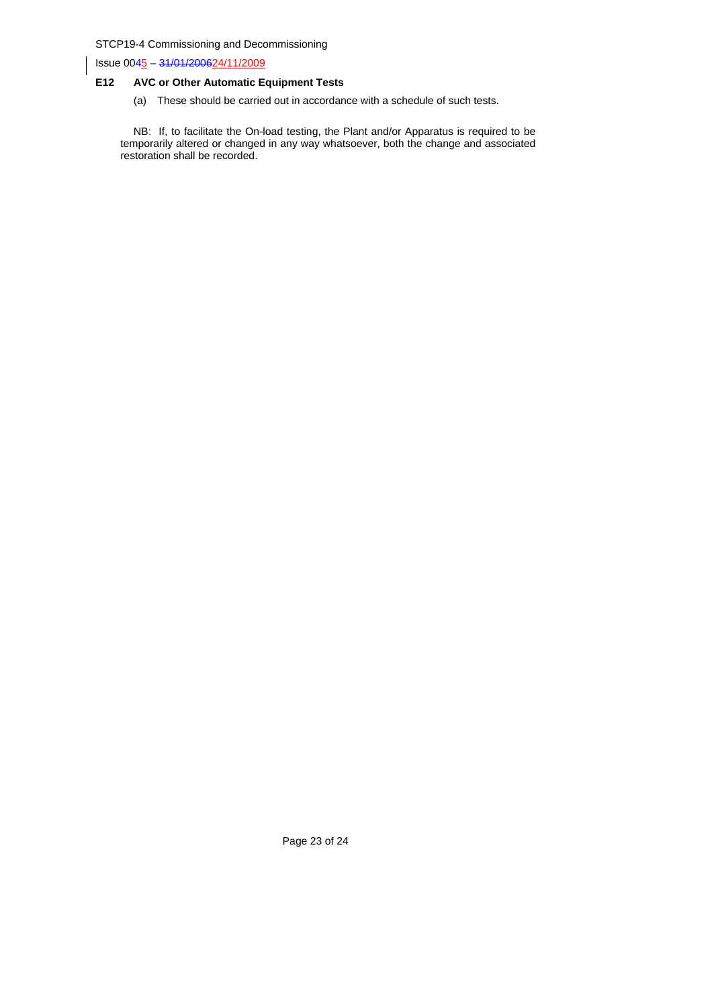Issue 0045 – 31/01/200624/11/2009

## **E12 AVC or Other Automatic Equipment Tests**

(a) These should be carried out in accordance with a schedule of such tests.

 NB: If, to facilitate the On-load testing, the Plant and/or Apparatus is required to be temporarily altered or changed in any way whatsoever, both the change and associated restoration shall be recorded.